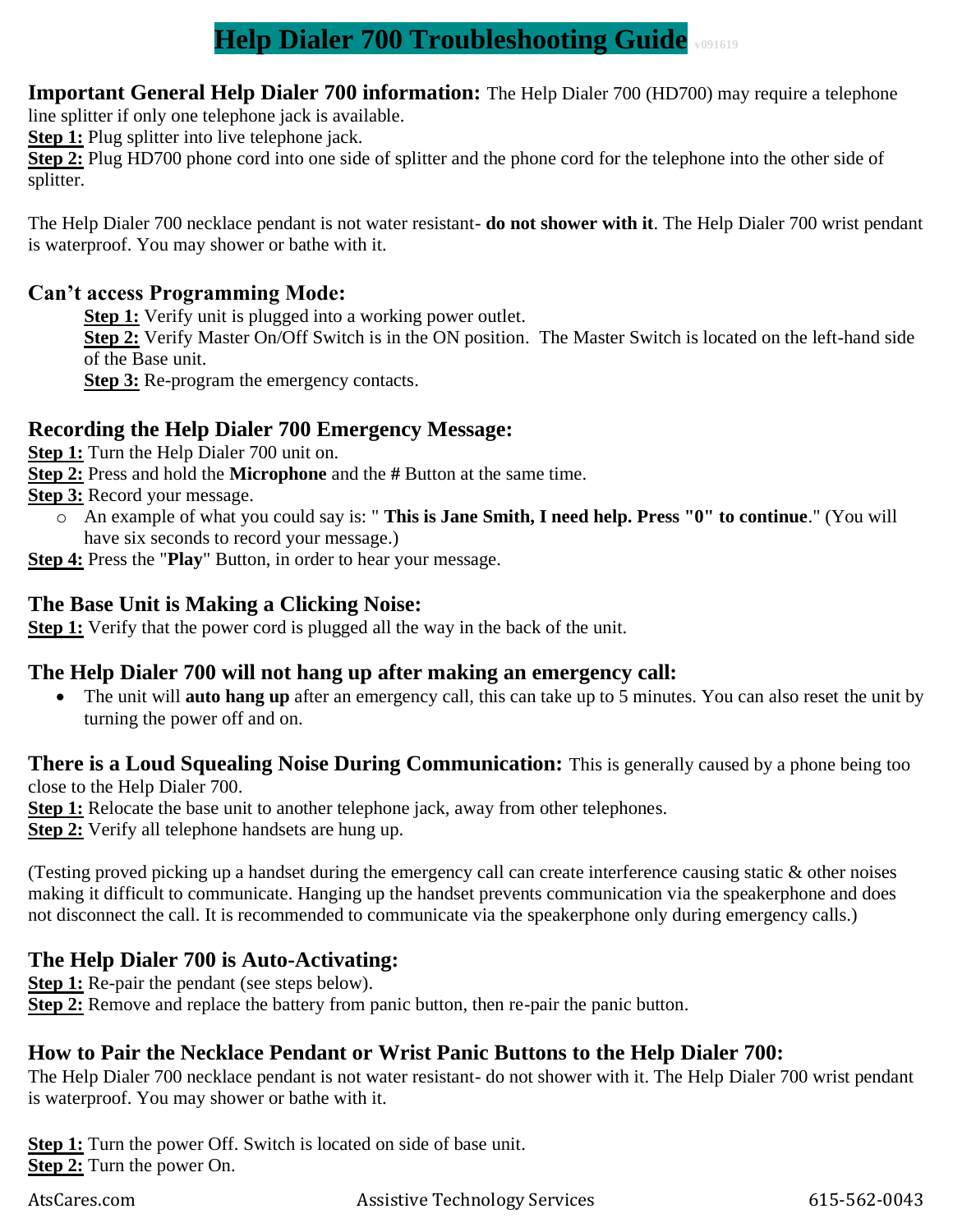# **Help Dialer 700 Troubleshooting Guide v091619**

**Important General Help Dialer 700 information:** The Help Dialer 700 (HD700) may require a telephone

line splitter if only one telephone jack is available.

**Step 1:** Plug splitter into live telephone jack.

**Step 2:** Plug HD700 phone cord into one side of splitter and the phone cord for the telephone into the other side of splitter.

The Help Dialer 700 necklace pendant is not water resistant- **do not shower with it**. The Help Dialer 700 wrist pendant is waterproof. You may shower or bathe with it.

#### **Can't access Programming Mode:**

**Step 1:** Verify unit is plugged into a working power outlet.

**Step 2:** Verify Master On/Off Switch is in the ON position. The Master Switch is located on the left-hand side of the Base unit.

**Step 3:** Re-program the emergency contacts.

### **Recording the Help Dialer 700 Emergency Message:**

**Step 1:** Turn the Help Dialer 700 unit on.

**Step 2:** Press and hold the **Microphone** and the **#** Button at the same time.

**Step 3:** Record your message.

o An example of what you could say is: " **This is Jane Smith, I need help. Press "0" to continue**." (You will have six seconds to record your message.)

**Step 4:** Press the "**Play**" Button, in order to hear your message.

#### **The Base Unit is Making a Clicking Noise:**

**Step 1:** Verify that the power cord is plugged all the way in the back of the unit.

## **The Help Dialer 700 will not hang up after making an emergency call:**

• The unit will **auto hang up** after an emergency call, this can take up to 5 minutes. You can also reset the unit by turning the power off and on.

**There is a Loud Squealing Noise During Communication:** This is generally caused by a phone being too close to the Help Dialer 700.

**Step 1:** Relocate the base unit to another telephone jack, away from other telephones.

**Step 2:** Verify all telephone handsets are hung up.

(Testing proved picking up a handset during the emergency call can create interference causing static & other noises making it difficult to communicate. Hanging up the handset prevents communication via the speakerphone and does not disconnect the call. It is recommended to communicate via the speakerphone only during emergency calls.)

## **The Help Dialer 700 is Auto-Activating:**

**Step 1:** Re-pair the pendant (see steps below).

**Step 2:** Remove and replace the battery from panic button, then re-pair the panic button.

#### **How to Pair the Necklace Pendant or Wrist Panic Buttons to the Help Dialer 700:**

The Help Dialer 700 necklace pendant is not water resistant- do not shower with it. The Help Dialer 700 wrist pendant is waterproof. You may shower or bathe with it.

**Step 1:** Turn the power Off. Switch is located on side of base unit. **Step 2:** Turn the power On.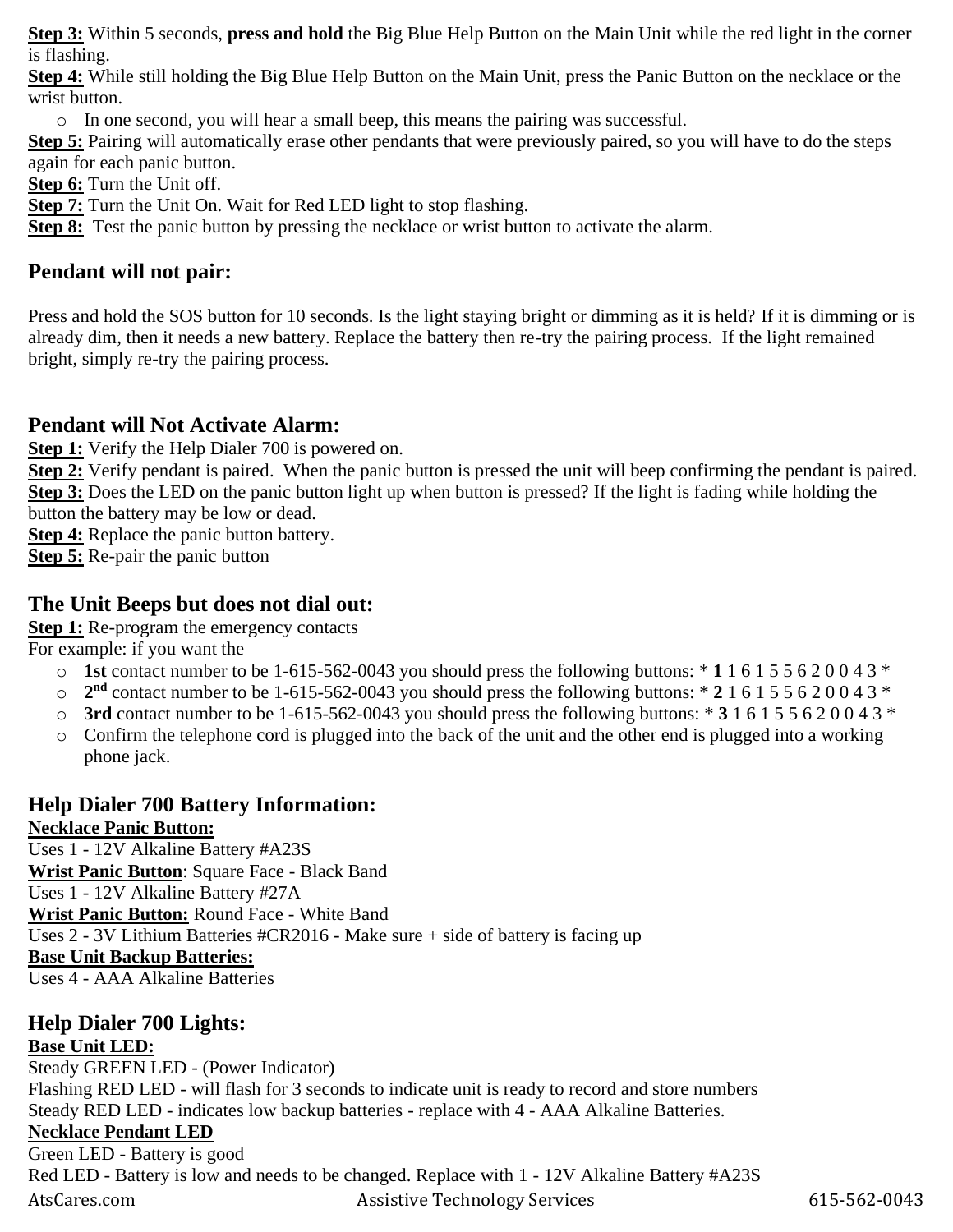**Step 3:** Within 5 seconds, **press and hold** the Big Blue Help Button on the Main Unit while the red light in the corner is flashing.

**Step 4:** While still holding the Big Blue Help Button on the Main Unit, press the Panic Button on the necklace or the wrist button.

o In one second, you will hear a small beep, this means the pairing was successful.

**Step 5:** Pairing will automatically erase other pendants that were previously paired, so you will have to do the steps again for each panic button.

**Step 6:** Turn the Unit off.

**Step 7:** Turn the Unit On. Wait for Red LED light to stop flashing.

**Step 8:** Test the panic button by pressing the necklace or wrist button to activate the alarm.

#### **Pendant will not pair:**

Press and hold the SOS button for 10 seconds. Is the light staying bright or dimming as it is held? If it is dimming or is already dim, then it needs a new battery. Replace the battery then re-try the pairing process. If the light remained bright, simply re-try the pairing process.

#### **Pendant will Not Activate Alarm:**

**Step 1:** Verify the Help Dialer 700 is powered on.

**Step 2:** Verify pendant is paired. When the panic button is pressed the unit will beep confirming the pendant is paired. **Step 3:** Does the LED on the panic button light up when button is pressed? If the light is fading while holding the button the battery may be low or dead.

**Step 4:** Replace the panic button battery.

**Step 5:** Re-pair the panic button

#### **The Unit Beeps but does not dial out:**

**Step 1:** Re-program the emergency contacts

For example: if you want the

- o **1st** contact number to be 1-615-562-0043 you should press the following buttons: \* **1** 1 6 1 5 5 6 2 0 0 4 3 \*
- $\degree$  2<sup>nd</sup> contact number to be 1-615-562-0043 you should press the following buttons: \* 2 1 6 1 5 5 6 2 0 0 4 3 \*
- o **3rd** contact number to be 1-615-562-0043 you should press the following buttons: \* **3** 1 6 1 5 5 6 2 0 0 4 3 \*
- o Confirm the telephone cord is plugged into the back of the unit and the other end is plugged into a working phone jack.

# **Help Dialer 700 Battery Information:**

**Necklace Panic Button:**

Uses 1 - 12V Alkaline Battery #A23S **Wrist Panic Button**: Square Face - Black Band Uses 1 - 12V Alkaline Battery #27A **Wrist Panic Button:** Round Face - White Band Uses 2 - 3V Lithium Batteries #CR2016 - Make sure + side of battery is facing up **Base Unit Backup Batteries:** Uses 4 - AAA Alkaline Batteries

#### **Help Dialer 700 Lights: Base Unit LED:**

Steady GREEN LED - (Power Indicator) Flashing RED LED - will flash for 3 seconds to indicate unit is ready to record and store numbers Steady RED LED - indicates low backup batteries - replace with 4 - AAA Alkaline Batteries.

# **Necklace Pendant LED**

AtsCares.com Assistive Technology Services 615-562-0043 Green LED - Battery is good Red LED - Battery is low and needs to be changed. Replace with 1 - 12V Alkaline Battery #A23S